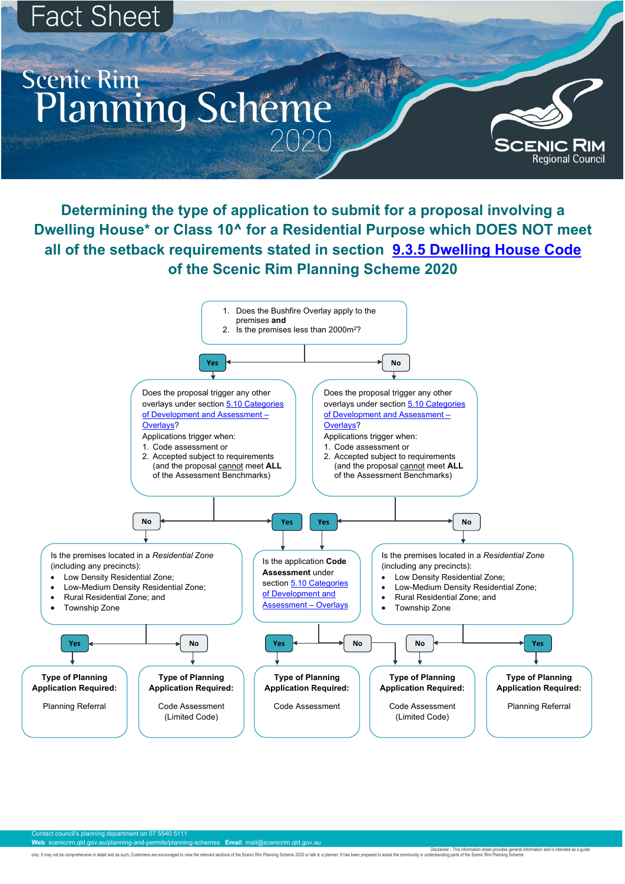## **Fact Sheet**

## **Scenic Rim** Planning Scheme

Disclaimer - This information sheet provides general information and is intended as a guide

only. It may not be comprehensive in detail and as such, Customers are encouraged to view the relevant sections of the Scenic Rim Planning Scheme 2020 or talk to a planner. It has been prepared to assist the community in u

Contact council's planning department on 07 5540 5111 **Web** scenicrim.qld.gov.au/planning-and-permits/planning-schemes **Email** mail@scenicrim.qld.gov.au

**Determining the type of application to submit for a proposal involving a Dwelling House\* or Class 10^ for a Residential Purpose which DOES NOT meet all of the setback requirements stated in section [9.3.5 Dwelling House Code](about:blank) of the Scenic Rim Planning Scheme 2020**

**Type of Planning Application Required:**

Planning Referral



**Type of Planning Application Required:**

Code Assessment

**Type of Planning Application Required:**

Code Assessment (Limited Code)

**Type of Planning Application Required:**

> Code Assessment (Limited Code)

**Type of Planning Application Required:**

**SCENIC RIM**<br>Regional Council

Planning Referral